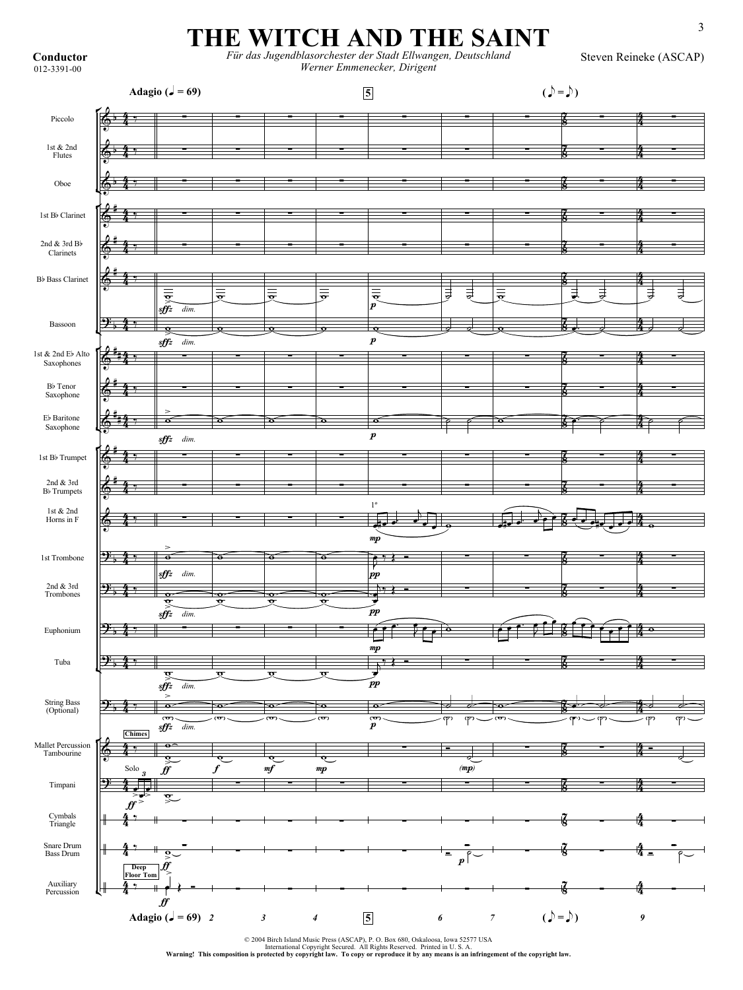|  |  |                                                                                                                                                                                                                                                                                                                                                                                                                                                                                           | THE WITCH AND THE SAINT |  |
|--|--|-------------------------------------------------------------------------------------------------------------------------------------------------------------------------------------------------------------------------------------------------------------------------------------------------------------------------------------------------------------------------------------------------------------------------------------------------------------------------------------------|-------------------------|--|
|  |  | $\Gamma$ $\blacksquare$ $\blacksquare$ $\blacksquare$ $\blacksquare$ $\blacksquare$ $\blacksquare$ $\blacksquare$ $\blacksquare$ $\blacksquare$ $\blacksquare$ $\blacksquare$ $\blacksquare$ $\blacksquare$ $\blacksquare$ $\blacksquare$ $\blacksquare$ $\blacksquare$ $\blacksquare$ $\blacksquare$ $\blacksquare$ $\blacksquare$ $\blacksquare$ $\blacksquare$ $\blacksquare$ $\blacksquare$ $\blacksquare$ $\blacksquare$ $\blacksquare$ $\blacksquare$ $\blacksquare$ $\blacksquare$ |                         |  |

**Conductor** 012-3391-00

*Für das Jugendblasorchester der Stadt Ellwangen, Deutschland* Steven Reineke (ASCAP) *Werner Emmenecker, Dirigent*

|                                                       |                                                | Adagio ( $\sqrt{ }$ = 69)                                         |                                      |                                     |                                                  | $\boxed{5}$                                                                                       |                                                   |                              | $(\lambda = \lambda)$   |                 |   |
|-------------------------------------------------------|------------------------------------------------|-------------------------------------------------------------------|--------------------------------------|-------------------------------------|--------------------------------------------------|---------------------------------------------------------------------------------------------------|---------------------------------------------------|------------------------------|-------------------------|-----------------|---|
| Piccolo                                               |                                                |                                                                   |                                      |                                     |                                                  |                                                                                                   |                                                   |                              |                         |                 |   |
| 1st & 2nd<br>Flutes                                   |                                                |                                                                   |                                      |                                     |                                                  |                                                                                                   |                                                   |                              |                         |                 |   |
| Oboe                                                  |                                                |                                                                   |                                      |                                     |                                                  |                                                                                                   |                                                   |                              |                         |                 |   |
| $1\mathrm{st}$ B<br>b Clarinet                        | $\overline{\bullet}$                           |                                                                   |                                      |                                     |                                                  |                                                                                                   |                                                   |                              |                         |                 |   |
| 2nd & 3rd Bb<br>Clarinets                             |                                                |                                                                   |                                      |                                     |                                                  |                                                                                                   |                                                   |                              |                         |                 |   |
| $\mathsf{B}\flat$ Bass Clarinet                       | $\bigcirc$                                     | $\overline{\overline{g}}$                                         | $\overline{\overline{\overline{v}}}$ |                                     | $\overline{\overline{\overline{v}}}$             | $\equiv$                                                                                          | ₹<br>₹                                            | $\overline{5}$               | 3<br>₹.<br>ㅋ            | ₹               | ₹ |
| Bassoon                                               | $\mathbf{\Theta}^{\mathbf{a}}$                 | $sffz$ dim.<br>ङ्                                                 | $\mathbf{p}$                         | $\bullet$                           | $\mathbf{o}$                                     | $\boldsymbol{p}$<br>$\overline{\mathbf{o}}$                                                       |                                                   | $\bullet$                    | $\bar{\bm{\mathit{s}}}$ |                 |   |
| $1\mathrm{st}$ & $2\mathrm{nd}$ Eb Alto<br>Saxophones | $6$ <sup>1</sup>                               | $sffz$ dim.                                                       |                                      |                                     |                                                  | $\boldsymbol{p}$                                                                                  |                                                   |                              |                         |                 |   |
| Bb Tenor<br>Saxophone                                 | $\breve{\mathbb{S}}$                           |                                                                   |                                      |                                     |                                                  |                                                                                                   |                                                   |                              |                         |                 |   |
| $\mathrm{E}\flat$ Baritone<br>Saxophone               |                                                | $\geq$<br>$sffz$ dim.                                             |                                      | ö                                   | ò                                                | $\vec{\bullet}$<br>$\boldsymbol{p}$                                                               |                                                   |                              |                         |                 |   |
| 1st B <sub>b</sub> Trumpet                            | $\bigcirc$                                     |                                                                   |                                      |                                     |                                                  |                                                                                                   |                                                   |                              |                         |                 |   |
| $2$ nd & $3$ rd                                       | $\mathbf{\hat{e}}$                             |                                                                   |                                      |                                     |                                                  |                                                                                                   |                                                   |                              |                         |                 |   |
| B <sub>b</sub> Trumpets                               |                                                |                                                                   |                                      |                                     |                                                  |                                                                                                   |                                                   |                              |                         |                 |   |
| 1st & 2nd<br>Horns in F                               | Ģ                                              |                                                                   |                                      |                                     |                                                  | $1^{\rm o}$<br>J‡.                                                                                |                                                   |                              |                         |                 |   |
| 1st Trombone                                          | $\mathbf{\mathcal{P}}$ ,<br>$\frac{4}{3}$<br>马 | ><br>$\overline{\bullet}$                                         | ᠊ᢦ                                   | $\mathbf{e}$                        | $\mathbf{e}$                                     | $\it mp$<br>$\overline{\mathbf{y}}$                                                               |                                                   |                              |                         |                 |   |
| 2nd & 3rd<br>Trombones                                | 9,4.7                                          | $sffz$ dim.                                                       | D<br>$\mathbf{p}$                    | D<br>$\boldsymbol{\sigma}$          | $\boldsymbol{\sigma}$<br>$\overline{\mathbf{v}}$ | $\widetilde{\mathcal{F}}$<br> pp <br>$\rightarrow$ $\rightarrow$ $\rightarrow$ $\rightarrow$<br>▾ |                                                   |                              |                         |                 |   |
| Euphonium                                             | ى∉                                             | $\overline{\mathbf{z}}$<br>$\overline{\text{effz}}$ dim.          |                                      |                                     |                                                  | $\mathbf{p}$<br>ÉL                                                                                | þ                                                 |                              |                         | ¢               |   |
| Tuba                                                  | $\mathbf{\Theta}$                              | $\tilde{\mathbf{z}}$                                              | $\overline{\mathbf{Q}}$              | $\overline{\mathbf{Q}}$             | $\overline{\mathbf{Q}}$                          | $\sqrt{np}$<br>$\overline{\ }$<br>₹                                                               |                                                   |                              |                         |                 |   |
| String Bass<br>(Optional)                             | <del>9:</del>                                  | $s\ddot{f}z$<br>dim.<br>$\geq$<br>$\overline{\mathbf{e}}$         | $\overline{\mathbf{e}}$              | '∙                                  | ø                                                | $\mathbb{Z} p p$<br>$\overline{\mathbf{o}}$                                                       | च                                                 | ō<br>$\overline{\mathbf{a}}$ | Б                       |                 |   |
| Mallet Percussion                                     | <b>Chimes</b>                                  | $\overline{\mathbf{o}}$<br>$sffz$ dim.<br>$\overline{\mathbf{e}}$ | <b>তে</b> )                          | তে)                                 | $\left( \overline{\bullet }\right)$              | $\left( \overline{\bullet }\right)$<br>$\boldsymbol{p}$                                           | (ত)<br>(ත                                         |                              |                         | (နာ             |   |
| Tambourine<br>Timpani                                 | ∲<br>Solo $\frac{3}{3}$                        | ò.<br>$\dot{f}$                                                   | $\overline{\mathbf{o}}$<br>$\pmb{f}$ | $\overline{\mathbf{o}}$<br>$\it mf$ | ত্<br>$\sqrt{np}$                                |                                                                                                   | $(\boldsymbol{m}{\boldsymbol{p}})$                |                              | ś                       |                 |   |
| Cymbals<br>Triangle                                   |                                                | $\tilde{\mathbf{z}}$                                              |                                      |                                     |                                                  |                                                                                                   |                                                   |                              | $\frac{2}{8}$           |                 |   |
| Snare Drum<br>Bass Drum                               |                                                | $\mathbf{o}_s$                                                    |                                      |                                     |                                                  |                                                                                                   | $\overline{\phantom{a}}$<br>$\overline{p}^{\rho}$ |                              | $\frac{7}{8}$           | $\frac{4}{4}$ – |   |
| Auxiliary<br>Percussion                               | Deep<br><b>Floor Tom</b><br>Ш<br>4             | f f<br>$\geq$<br>$f\hspace{-0.1cm}f$                              |                                      |                                     |                                                  |                                                                                                   |                                                   |                              | $\tilde{8}$             | 4               |   |

© 2004 Birch Island Music Press (ASCAP), P. O. Box 680, Oskaloosa, Iowa 52577 USA<br>International Copyright Secured. All Rights Reserved. Printed in U. S. A.<br>Warning! This composition is protected by copyright law. To cop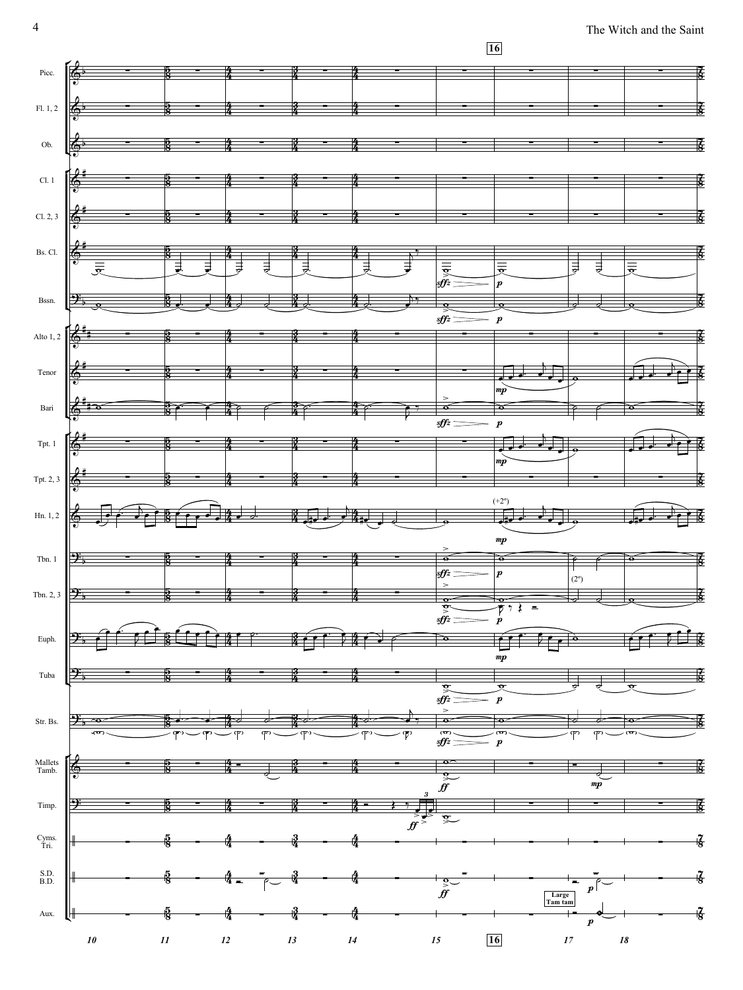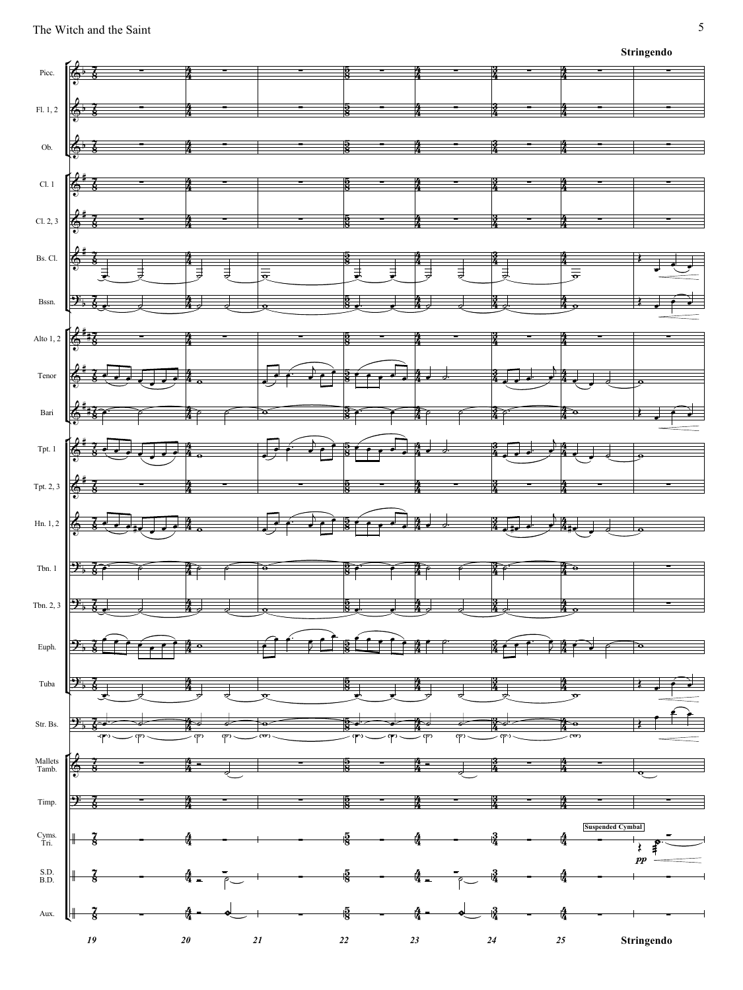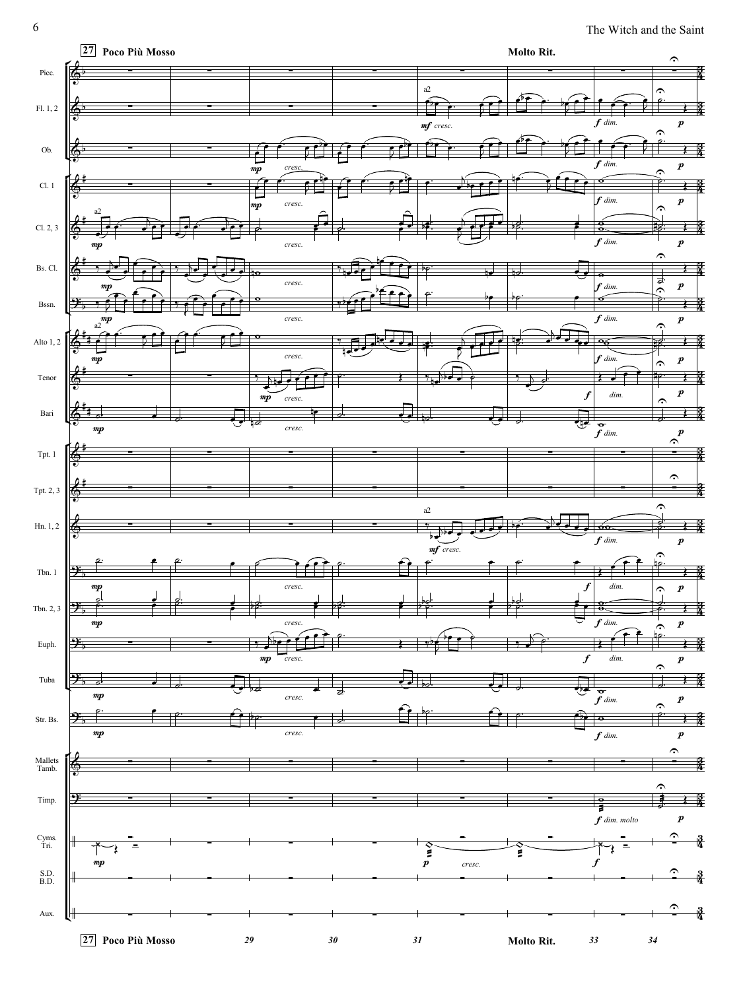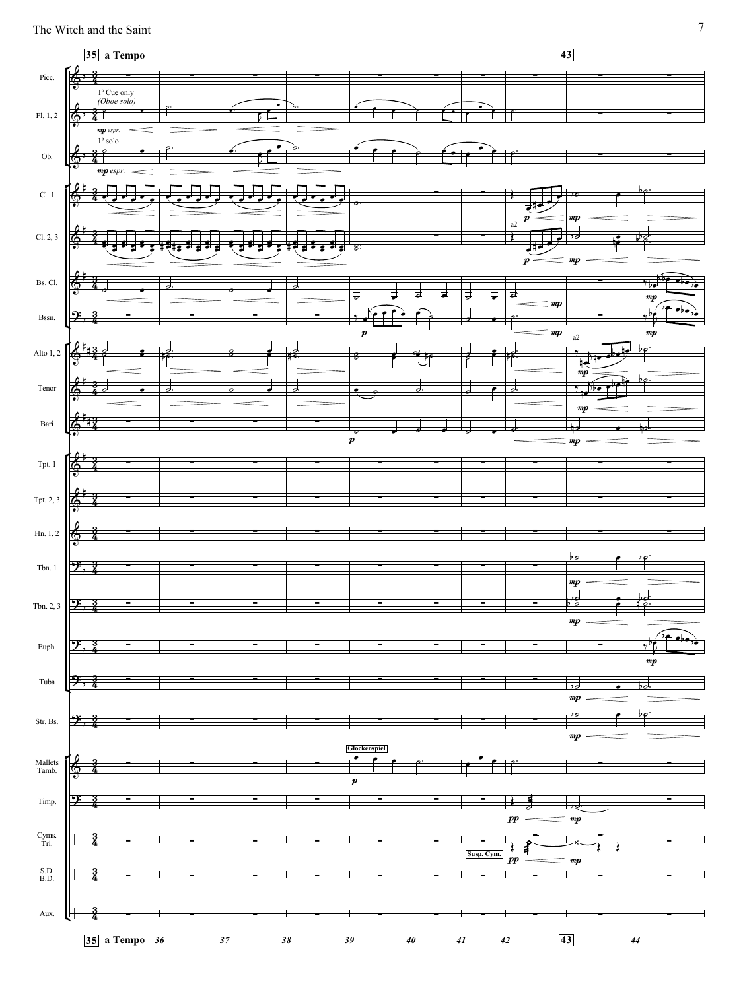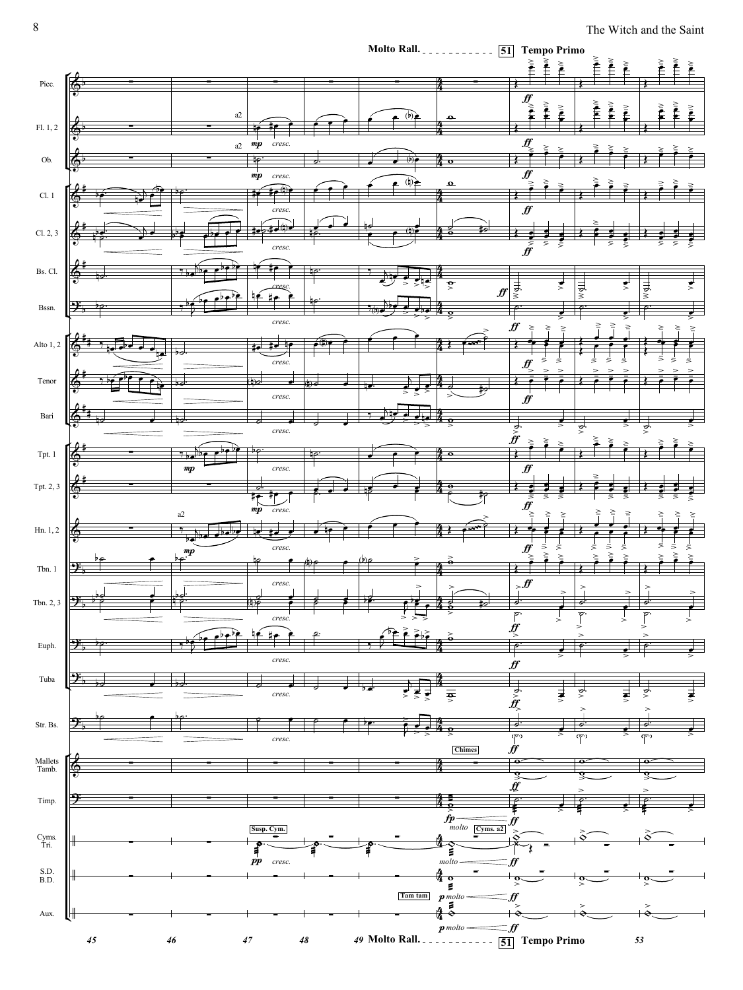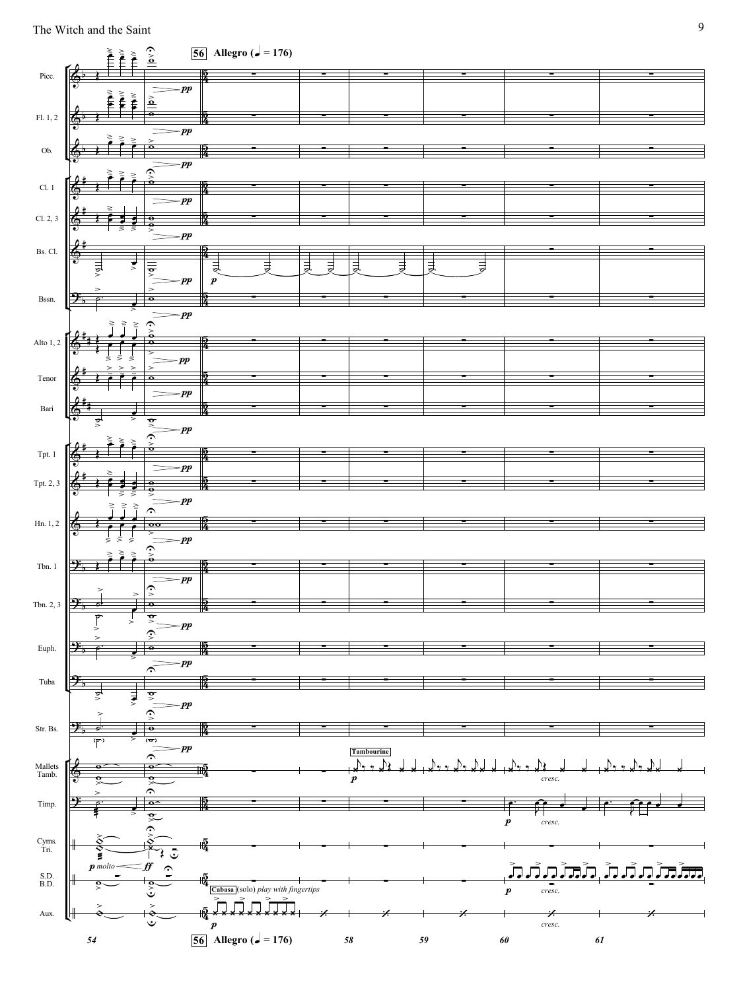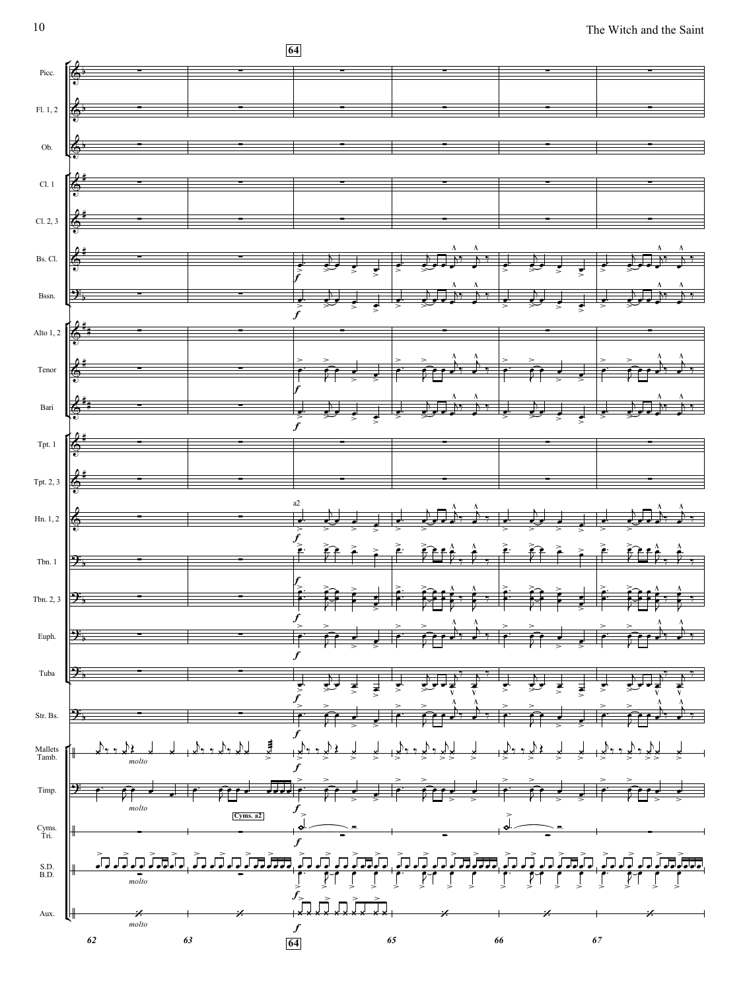

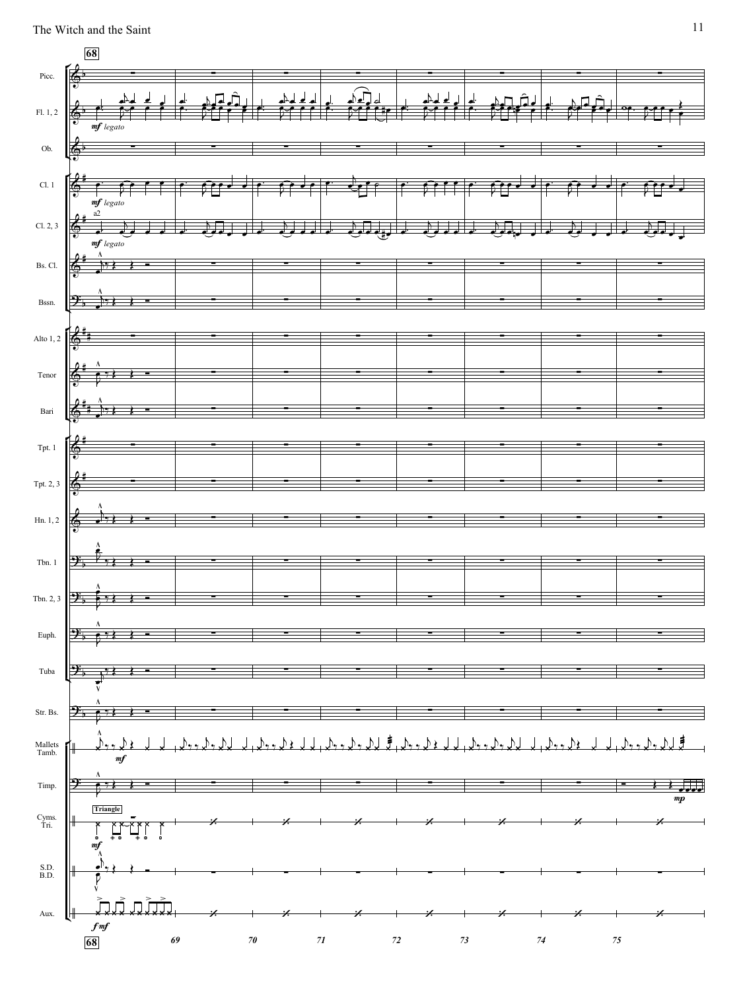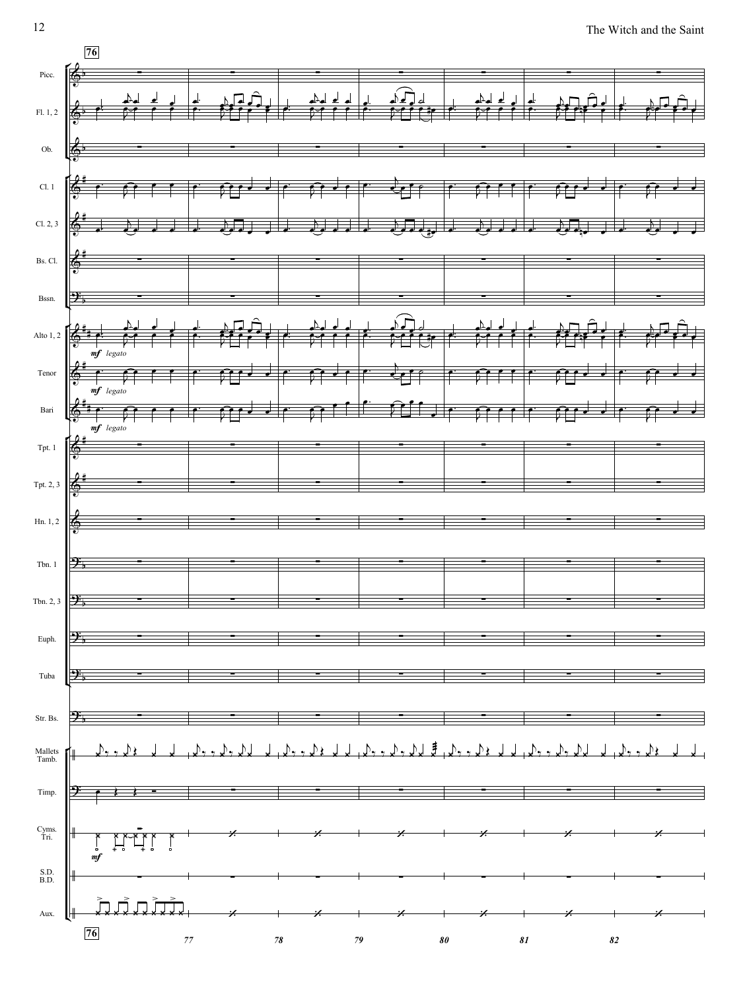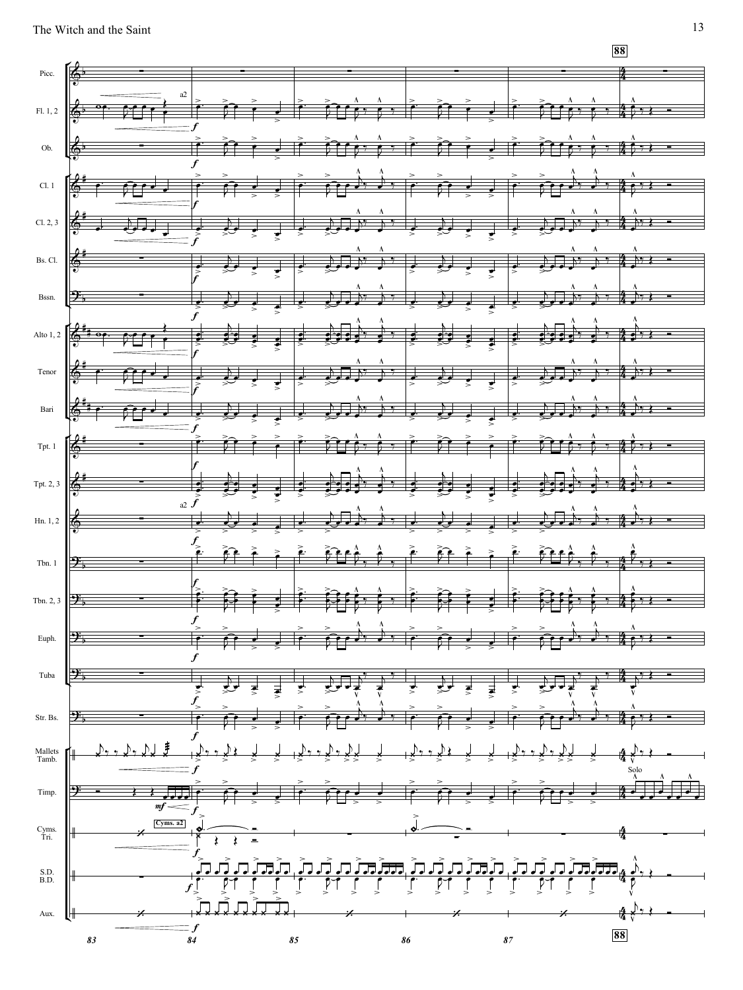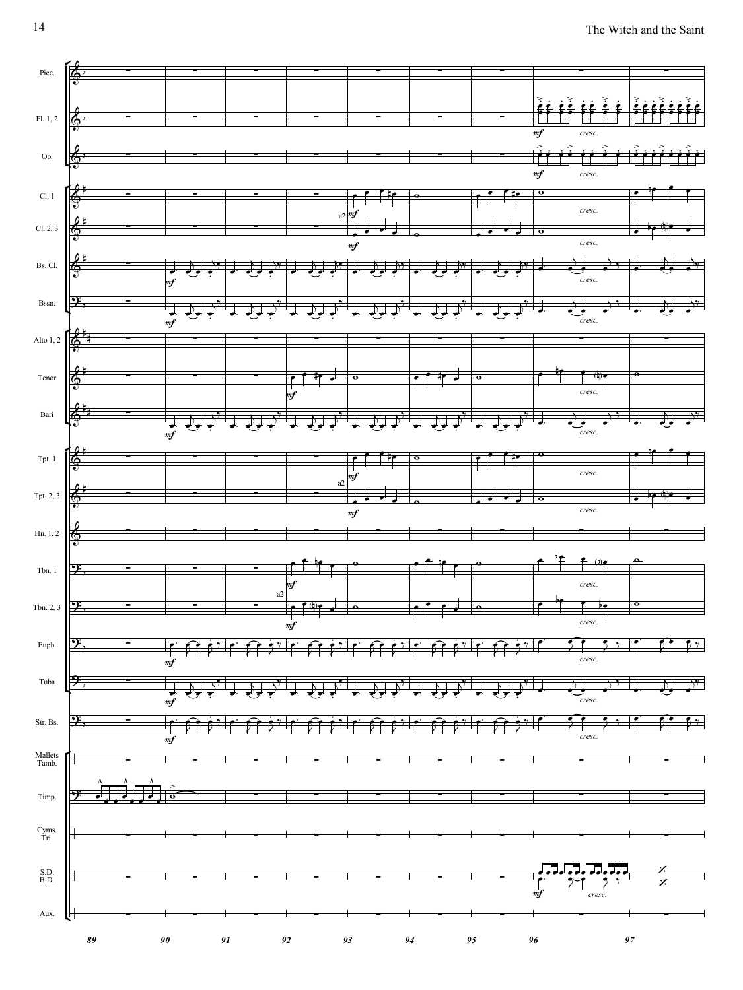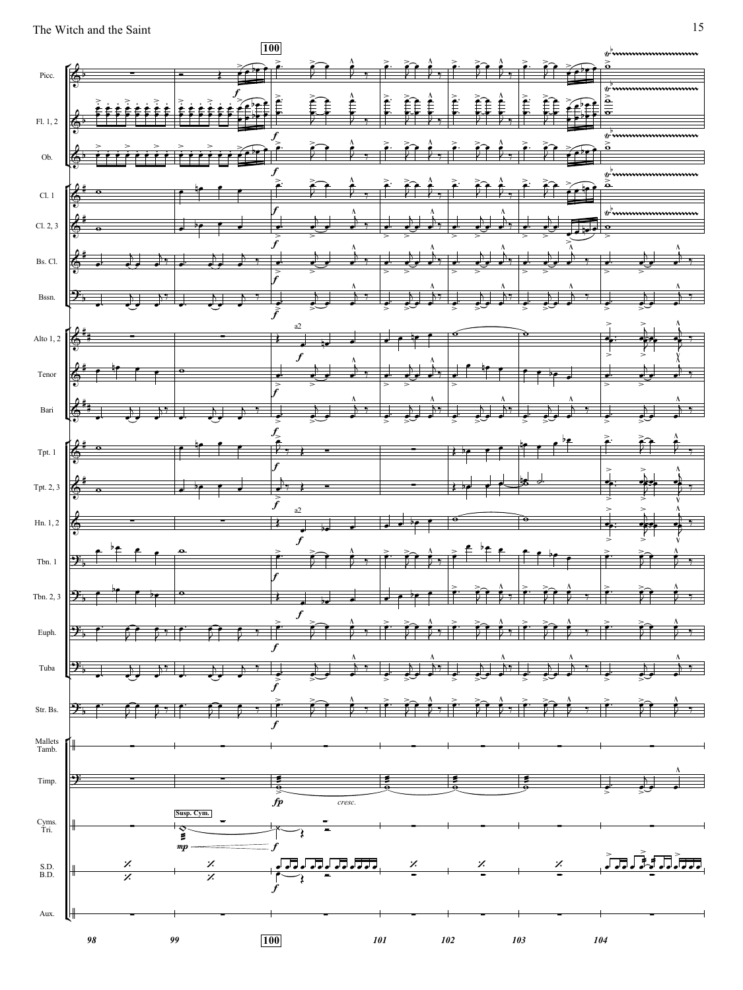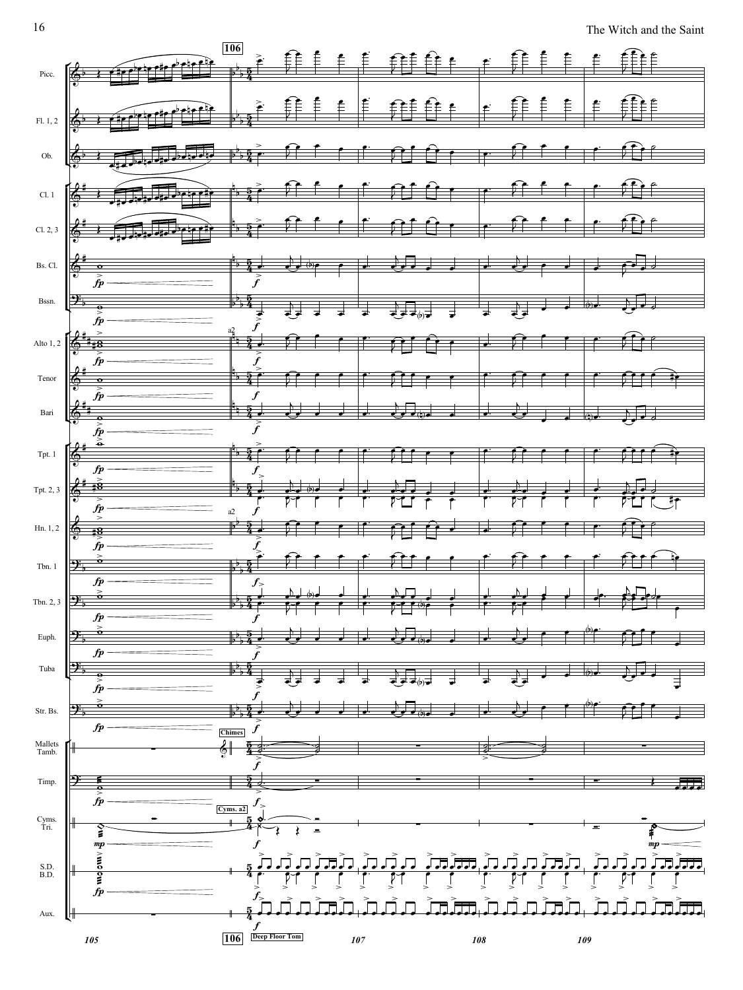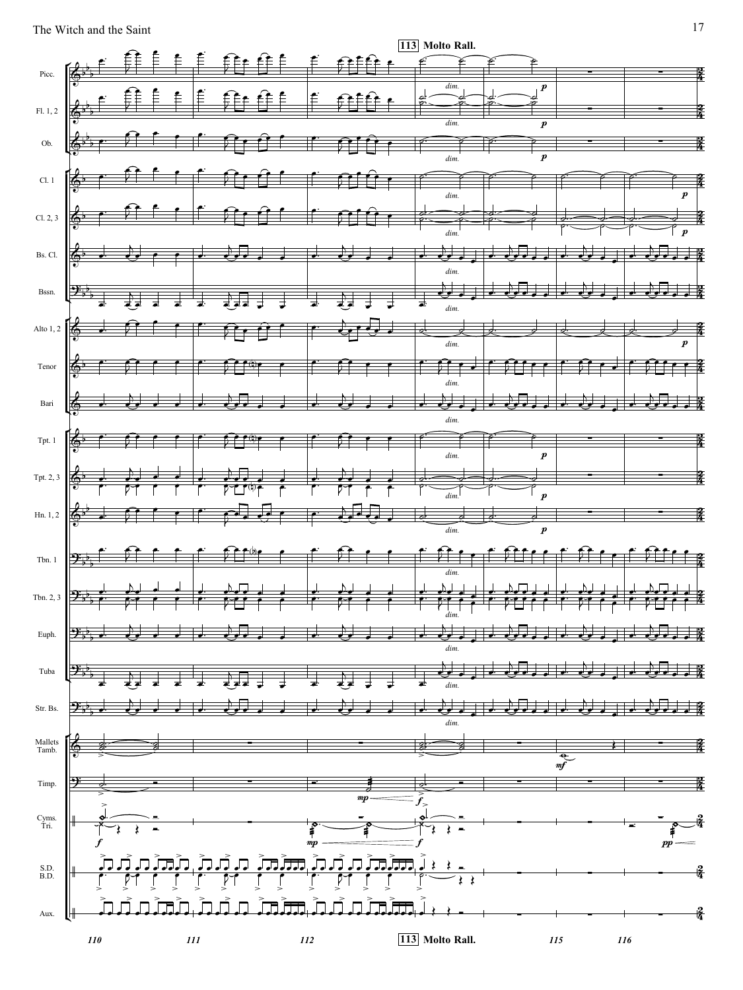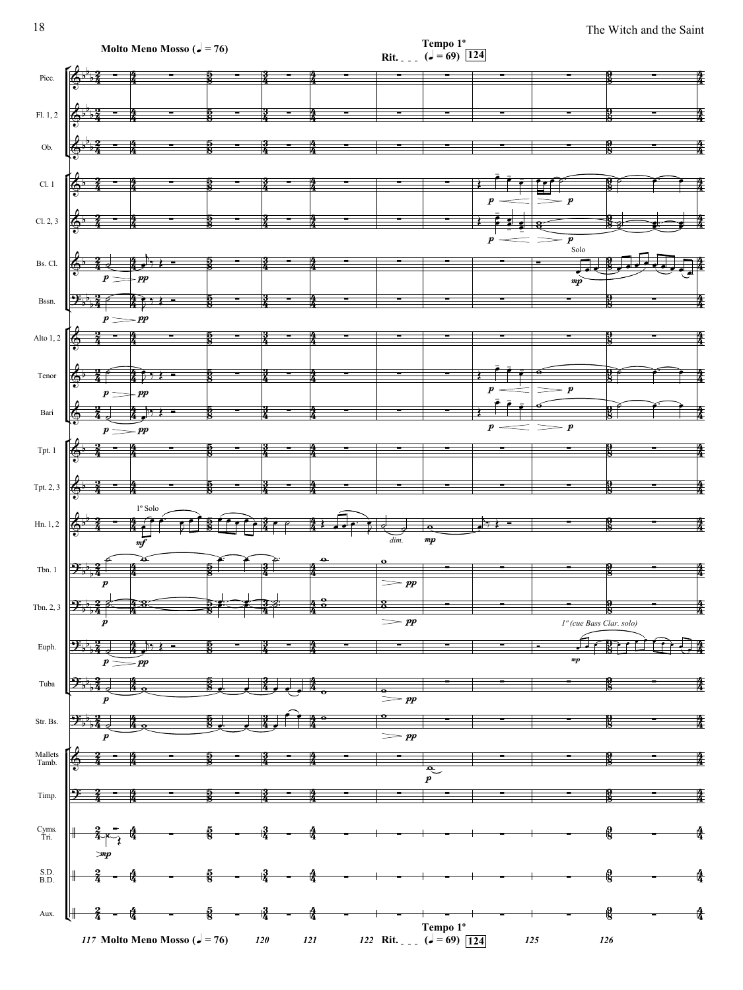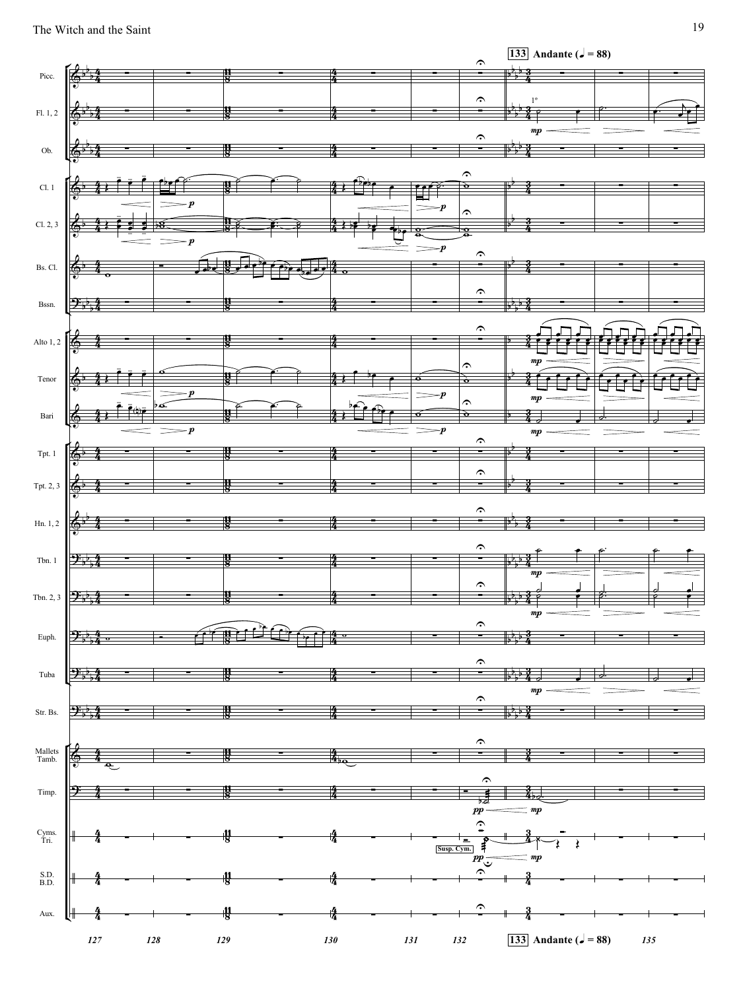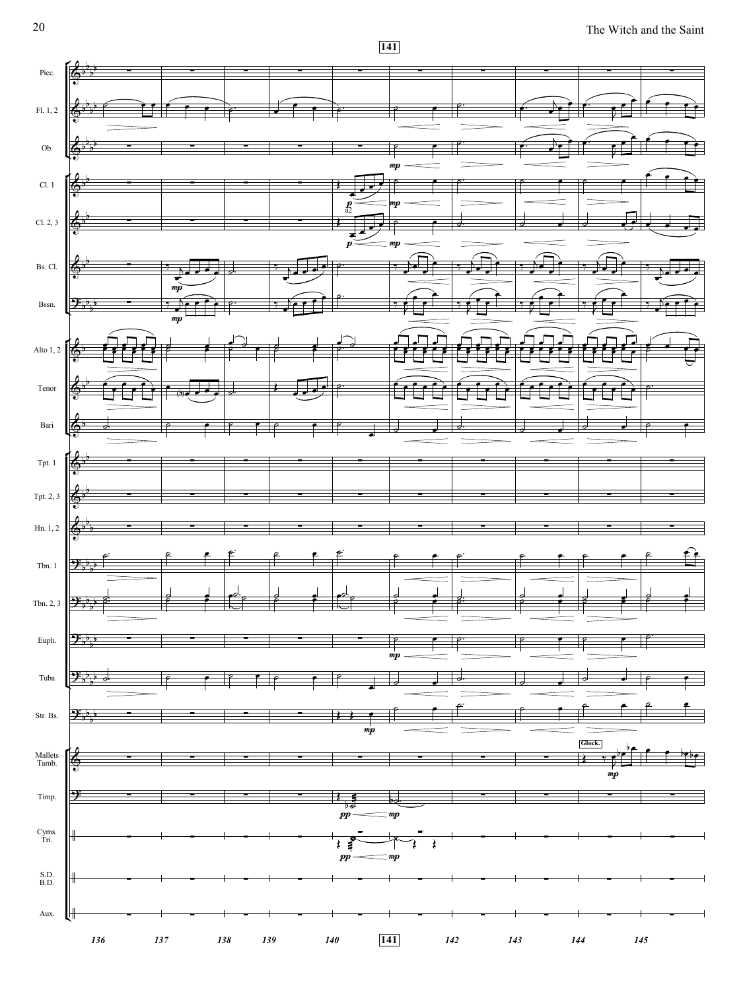

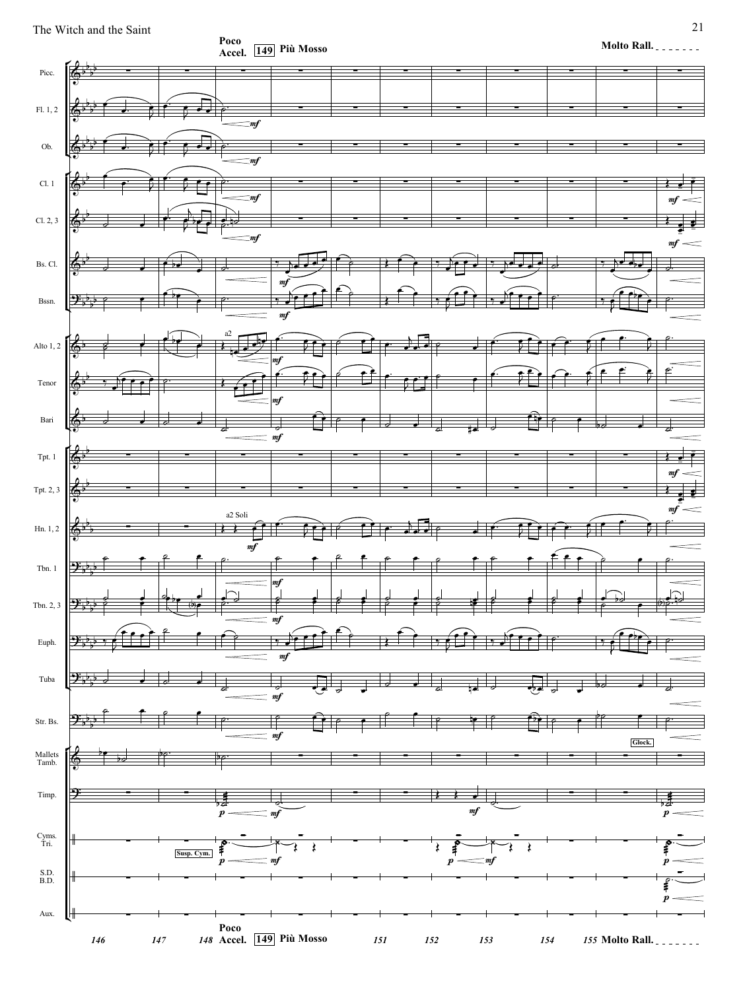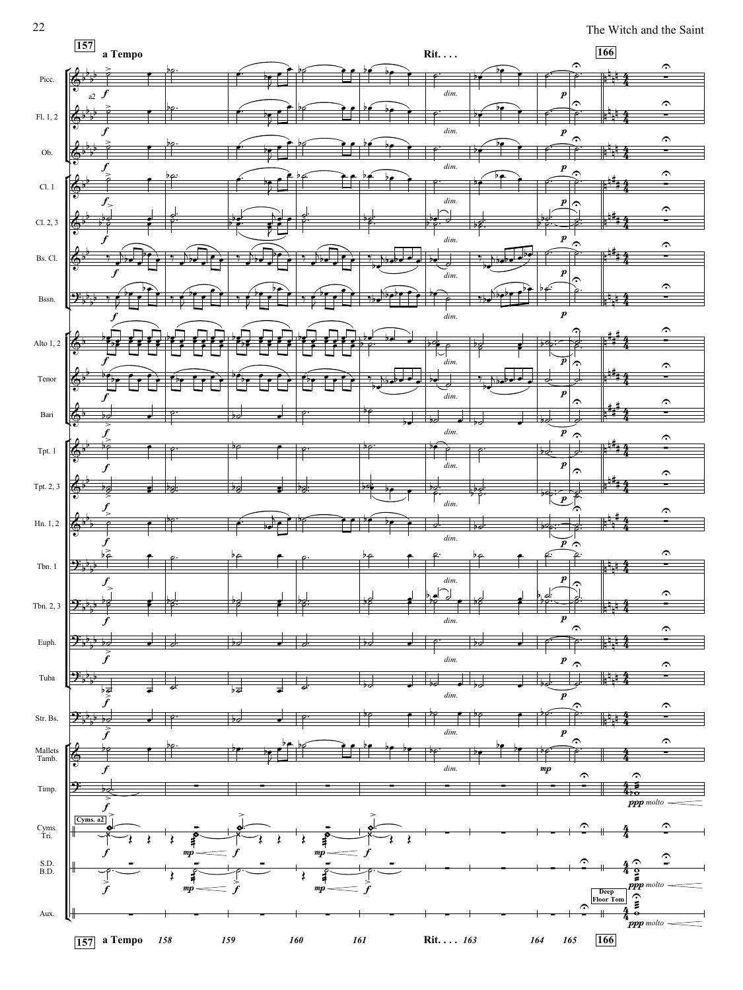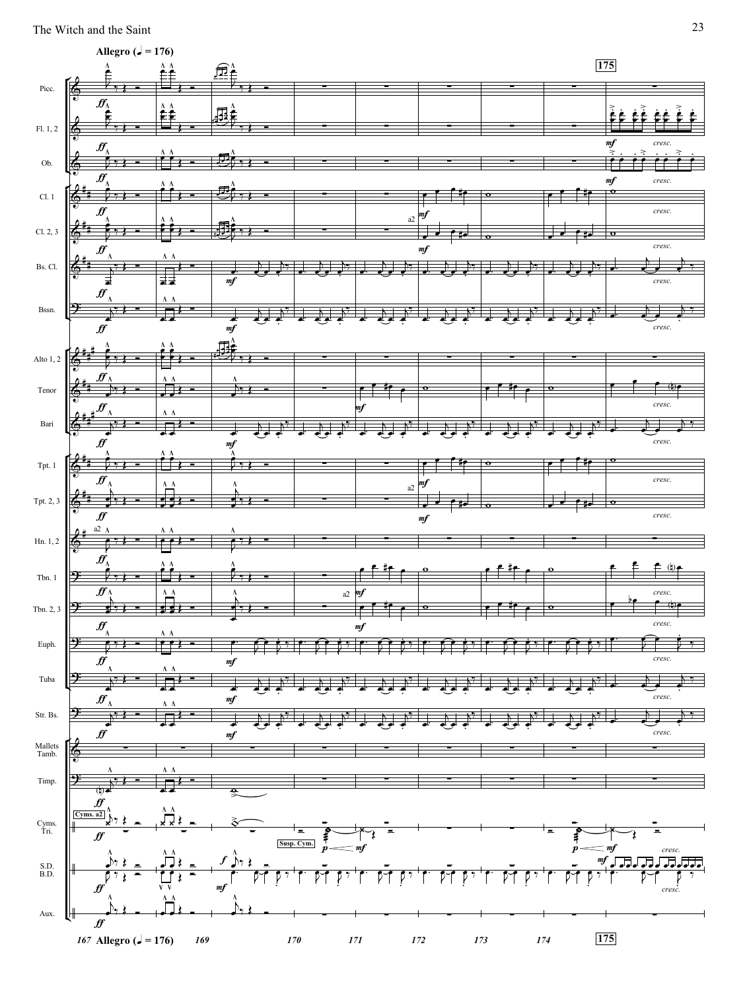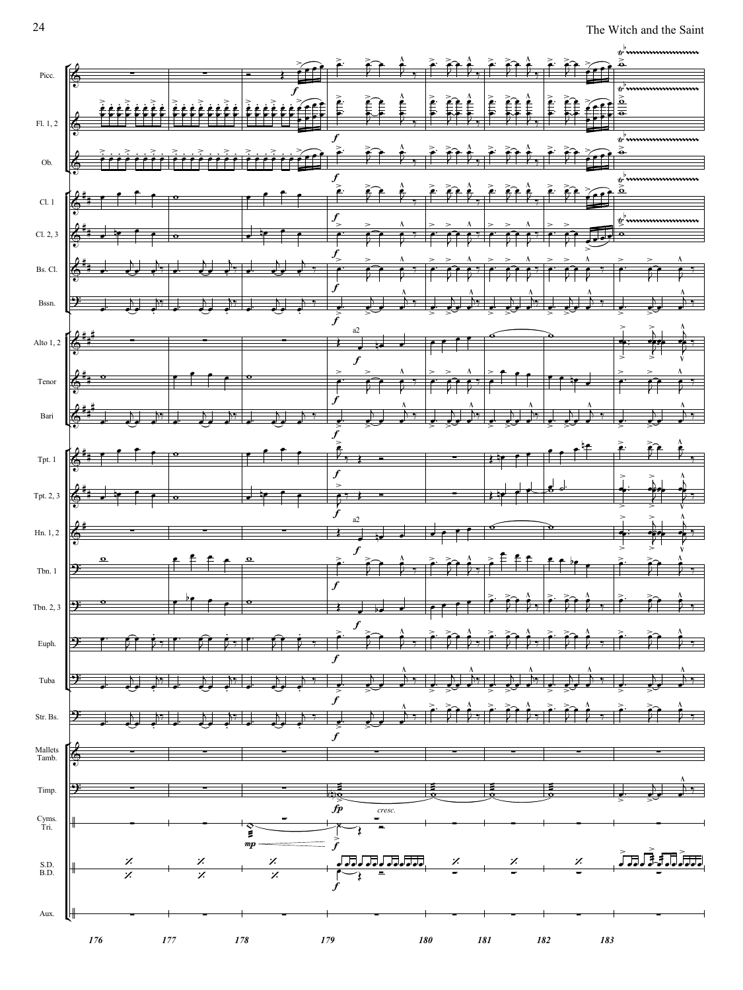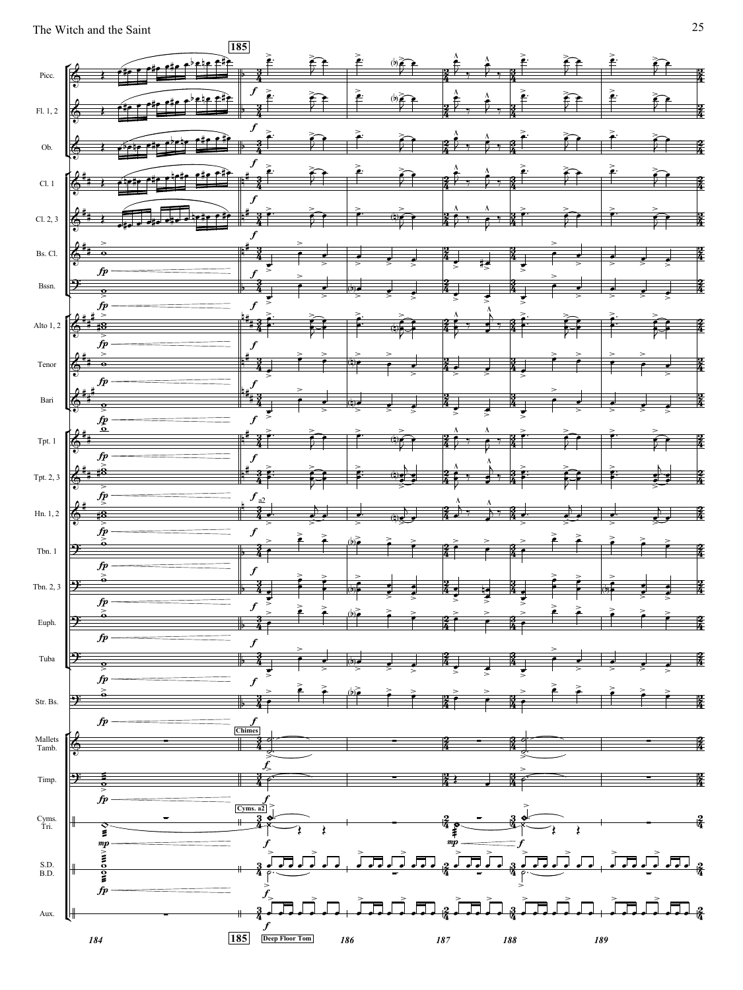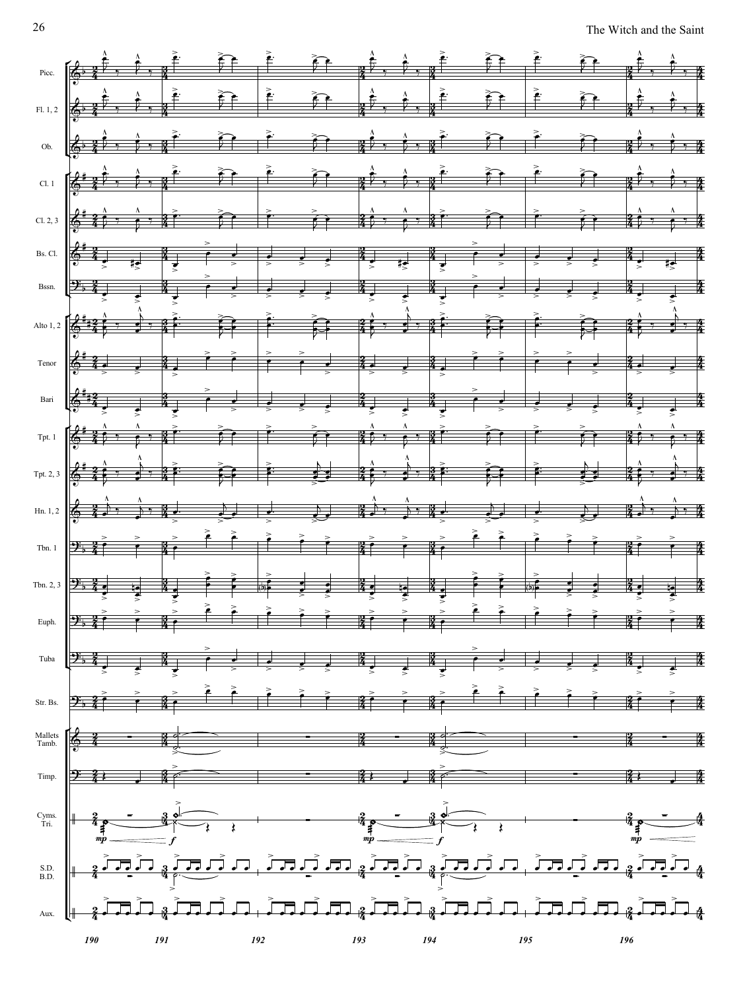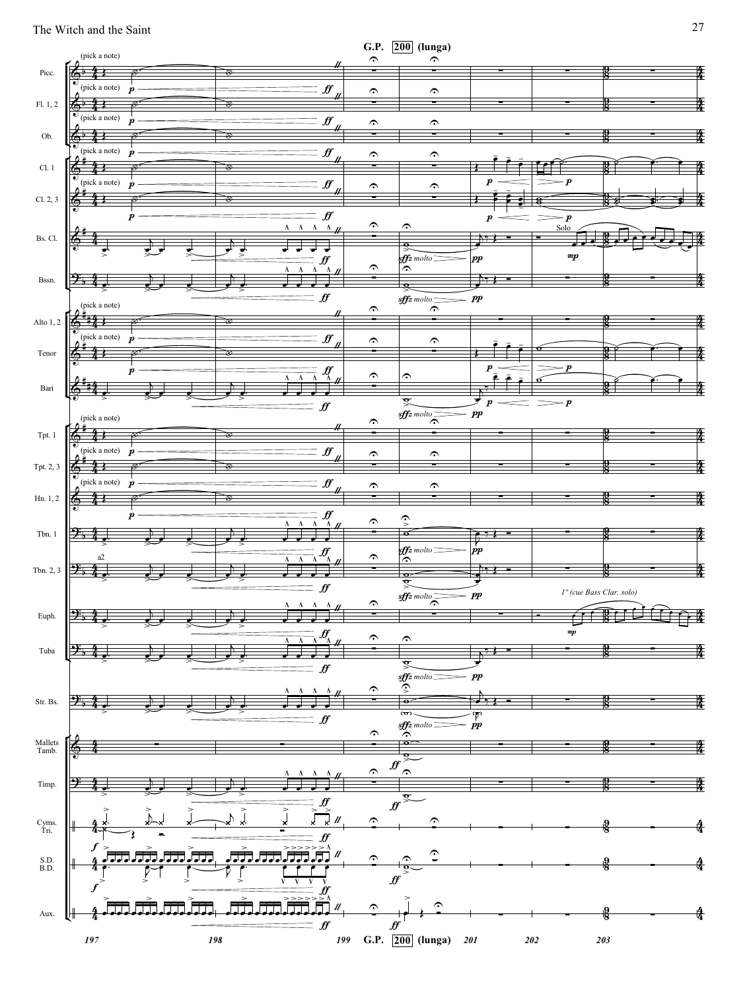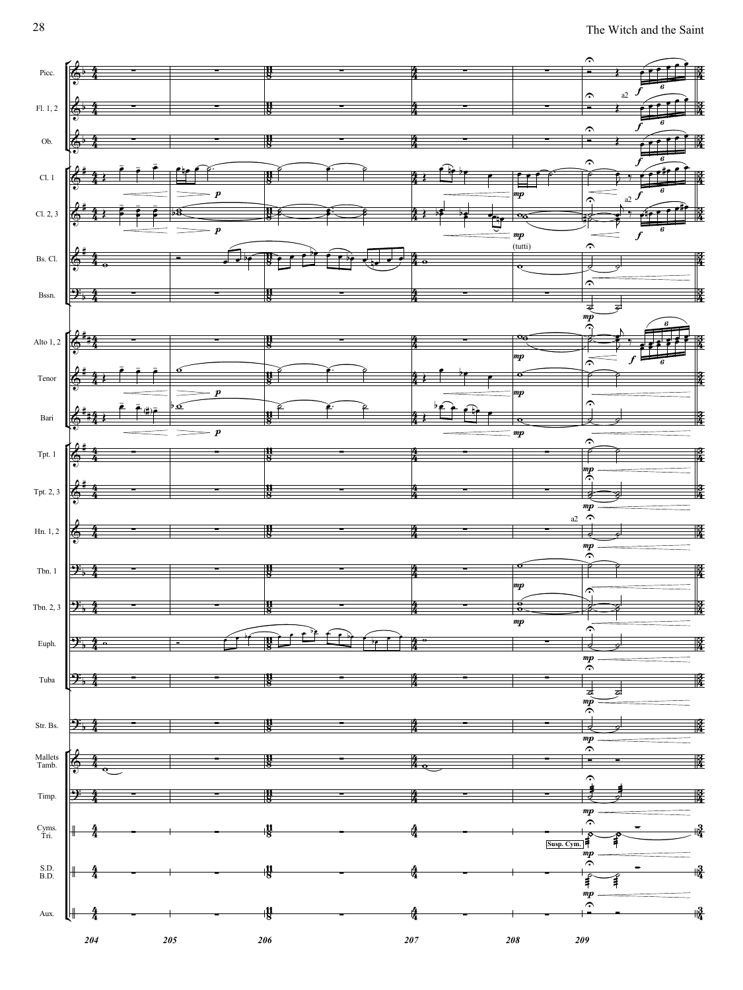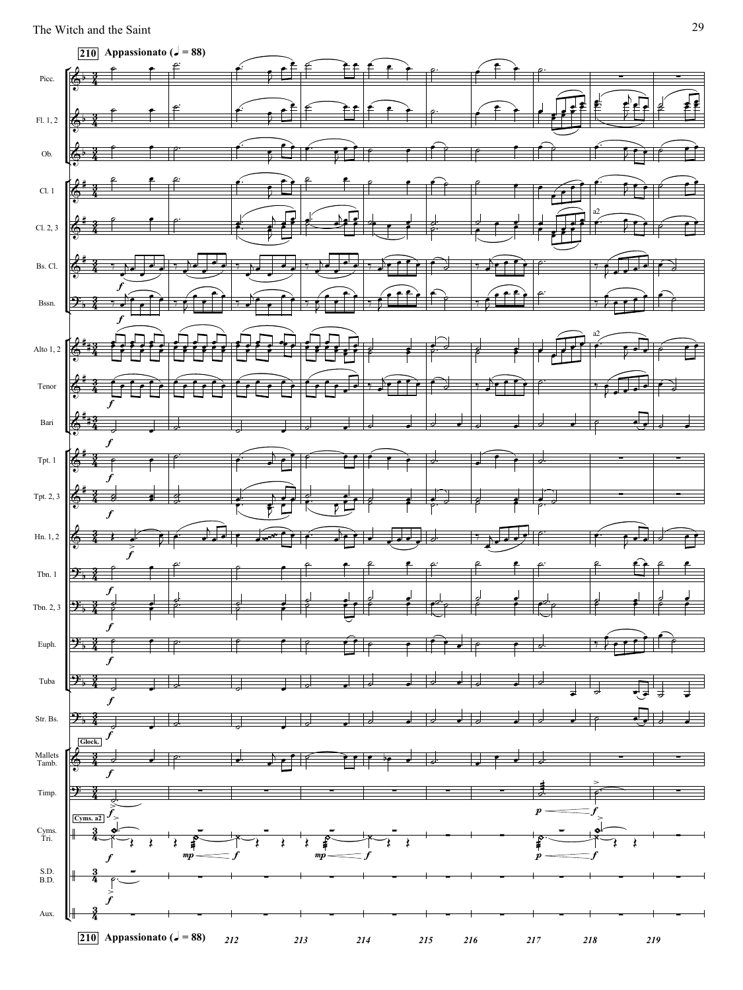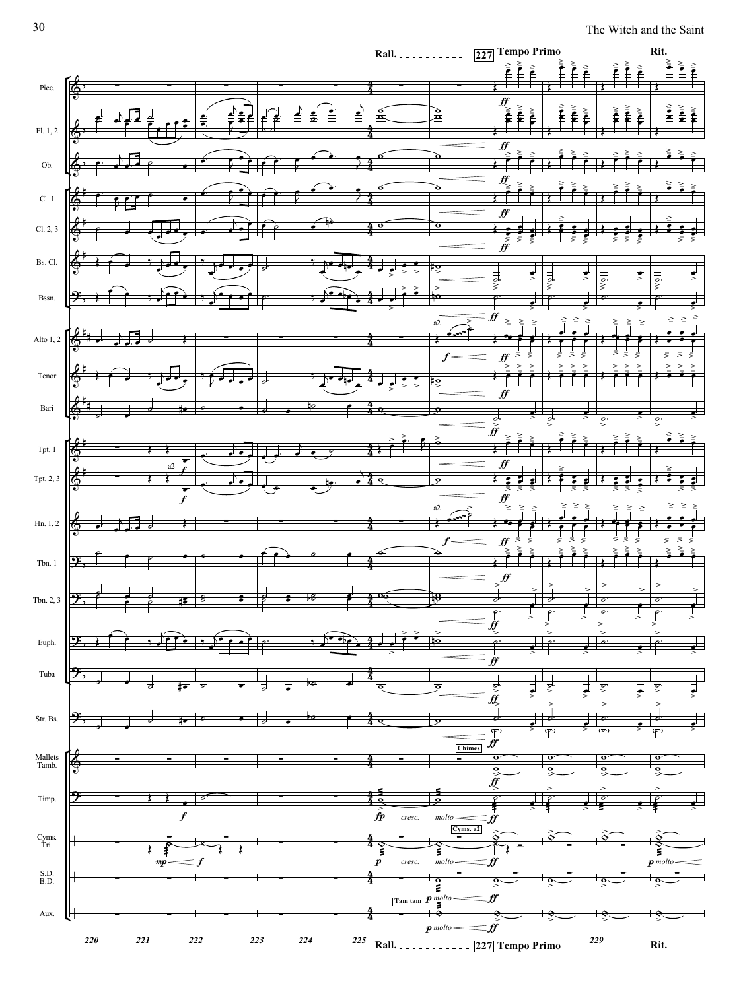